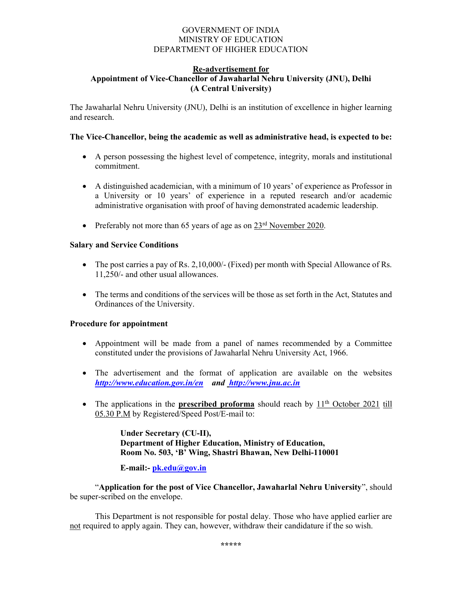### GOVERNMENT OF INDIA MINISTRY OF EDUCATION DEPARTMENT OF HIGHER EDUCATION

## Re-advertisement for

### Appointment of Vice-Chancellor of Jawaharlal Nehru University (JNU), Delhi (A Central University)

The Jawaharlal Nehru University (JNU), Delhi is an institution of excellence in higher learning and research.

### The Vice-Chancellor, being the academic as well as administrative head, is expected to be:

- A person possessing the highest level of competence, integrity, morals and institutional commitment.
- A distinguished academician, with a minimum of 10 years' of experience as Professor in a University or 10 years' of experience in a reputed research and/or academic administrative organisation with proof of having demonstrated academic leadership.
- Preferably not more than 65 years of age as on  $23<sup>rd</sup>$  November 2020.

### Salary and Service Conditions

- $\bullet$  The post carries a pay of Rs. 2,10,000/- (Fixed) per month with Special Allowance of Rs. 11,250/- and other usual allowances.
- The terms and conditions of the services will be those as set forth in the Act, Statutes and Ordinances of the University.

### Procedure for appointment

- Appointment will be made from a panel of names recommended by a Committee constituted under the provisions of Jawaharlal Nehru University Act, 1966.
- The advertisement and the format of application are available on the websites http://www.education.gov.in/en and http://www.jnu.ac.in
- The applications in the **prescribed proforma** should reach by  $11<sup>th</sup>$  October 2021 till 05.30 P.M by Registered/Speed Post/E-mail to:

Under Secretary (CU-II), Department of Higher Education, Ministry of Education, Room No. 503, 'B' Wing, Shastri Bhawan, New Delhi-110001

E-mail:- pk.edu@gov.in

"Application for the post of Vice Chancellor, Jawaharlal Nehru University", should be super-scribed on the envelope.

 This Department is not responsible for postal delay. Those who have applied earlier are not required to apply again. They can, however, withdraw their candidature if the so wish.